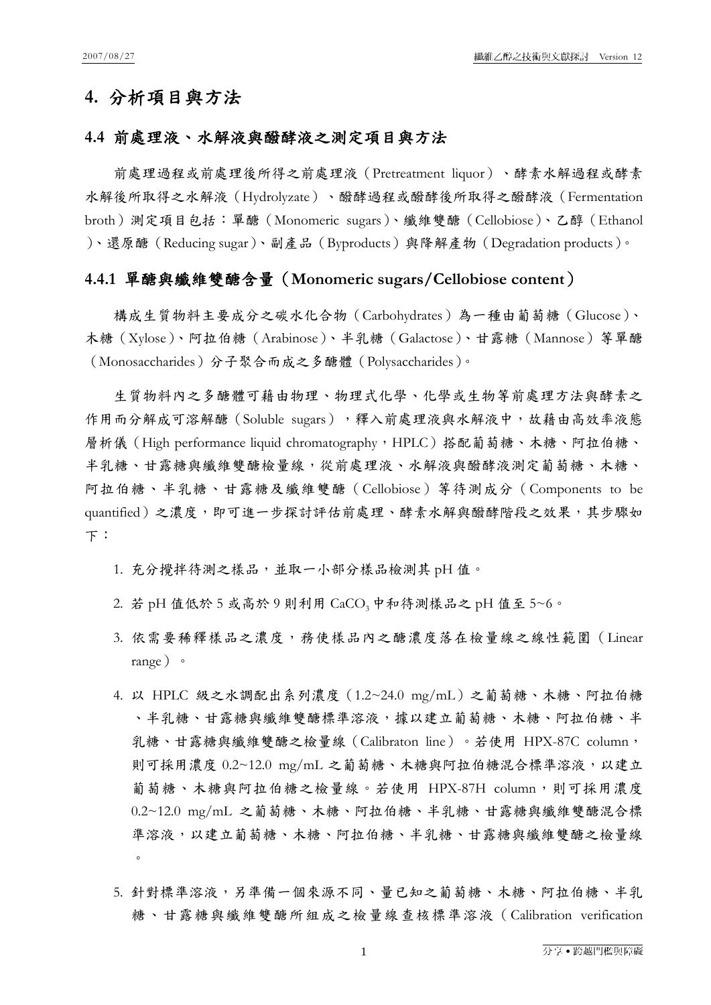# **4.** 分析項目與方法

### **4.4** 前處理液、水解液與醱酵液之測定項目與方法

前處理過程或前處理後所得之前處理液(Pretreatment liquor)、酵素水解過程或酵素 水解後所取得之水解液(Hydrolyzate)、醱酵過程或醱酵後所取得之醱酵液(Fermentation broth)測定項目包括:單醣(Monomeric sugars)、纖維雙醣(Cellobiose)、乙醇(Ethanol )、還原醣(Reducing sugar)、副產品(Byproducts)與降解產物(Degradation products)。

#### **4.4.1** 單醣與纖維雙醣含量(**Monomeric sugars/Cellobiose content**)

構成生質物料主要成分之碳水化合物(Carbohydrates)為一種由葡萄糖(Glucose)、 木糖(Xylose)、阿拉伯糖(Arabinose)、半乳糖(Galactose)、甘露糖(Mannose)等單醣 (Monosaccharides)分子聚合而成之多醣體(Polysaccharides)。

生質物料內之多醣體可藉由物理、物理式化學、化學或生物等前處理方法與酵素之 作用而分解成可溶解醣(Soluble sugars),釋入前處理液與水解液中,故藉由高效率液態 層析儀 (High performance liquid chromatography,HPLC)搭配葡萄糖、木糖、阿拉伯糖、 半乳糖、甘露糖與纖維雙醣檢量線,從前處理液、水解液與醱酵液測定葡萄糖、木糖、 阿拉伯糖、半乳糖、甘露糖及纖維雙醣(Cellobiose)等待測成分(Components to be quantified)之濃度,即可進一步探討評估前處理、酵素水解與醱酵階段之效果,其步驟如 下:

- 1. 充分攪拌待測之樣品,並取一小部分樣品檢測其 pH 值。
- 2. 若 pH 值低於 5 或高於 9 則利用 CaCO<sub>3</sub> 中和待測樣品之 pH 值至 5~6。
- 3. 依需要稀釋樣品之濃度,務使樣品內之醣濃度落在檢量線之線性範圍(Linear range)。
- 4. 以 HPLC 級之水調配出系列濃度(1.2~24.0 mg/mL)之葡萄糖、木糖、阿拉伯糖 、半乳糖、甘露糖與纖維雙醣標準溶液,據以建立葡萄糖、木糖、阿拉伯糖、半 乳糖、甘露糖與纖維雙醣之檢量線(Calibraton line)。若使用 HPX-87C column, 則可採用濃度 0.2~12.0 mg/mL 之葡萄糖、木糖與阿拉伯糖混合標準溶液, 以建立 葡萄糖、木糖與阿拉伯糖之檢量線。若使用 HPX-87H column,則可採用濃度 0.2~12.0 mg/mL 之葡萄糖、木糖、阿拉伯糖、半乳糖、甘露糖與纖維雙醣混合標 準溶液,以建立葡萄糖、木糖、阿拉伯糖、半乳糖、甘露糖與纖維雙醣之檢量線  $\circ$
- 5. 針對標準溶液,另準備一個來源不同、量已知之葡萄糖、木糖、阿拉伯糖、半乳 糖、甘露糖與纖維雙醣所組成之檢量線查核標準溶液(Calibration verification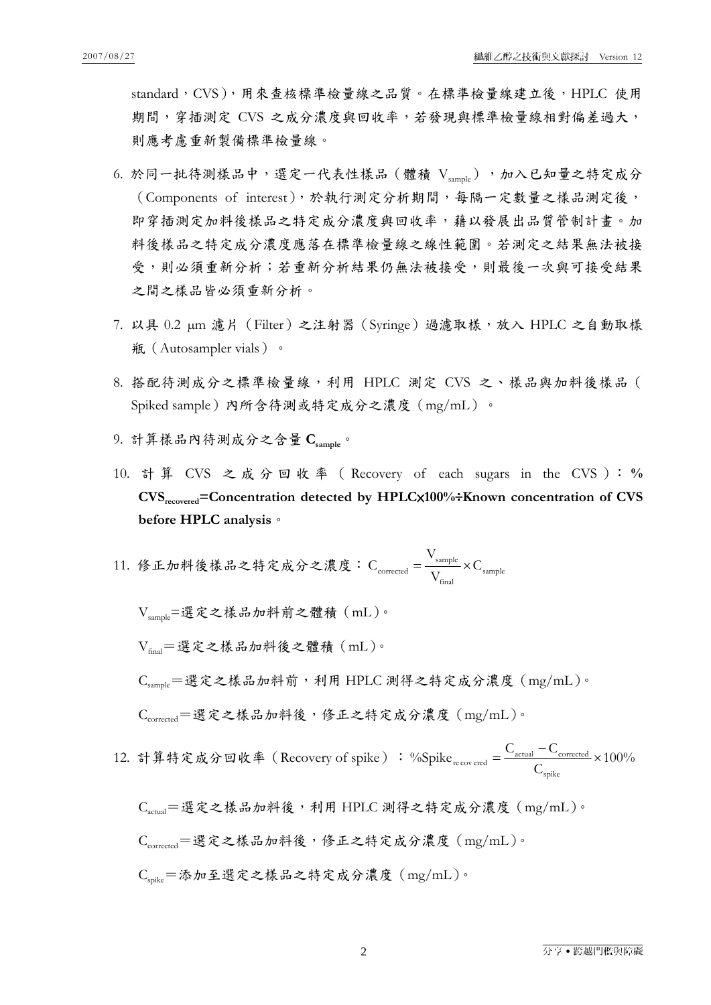standard, CVS), 用來查核標準檢量線之品質。在標準檢量線建立後, HPLC 使用 期間,穿插測定 CVS 之成分濃度與回收率,若發現與標準檢量線相對偏差過大, 則應考慮重新製備標準檢量線。

- 6. 於同一批待測樣品中,選定一代表性樣品 (體積 Vsannle),加入已知量之特定成分 (Components of interest),於執行測定分析期間,每隔一定數量之樣品測定後, 即穿插測定加料後樣品之特定成分濃度與回收率,藉以發展出品質管制計畫。加 料後樣品之特定成分濃度應落在標準檢量線之線性範圍。若測定之結果無法被接 受,則必須重新分析;若重新分析結果仍無法被接受,則最後一次與可接受結果 之間之樣品皆必須重新分析。
- 7. 以具 0.2 µm 濾片(Filter)之注射器(Syringe)過濾取樣,放入 HPLC 之自動取樣 瓶(Autosampler vials)。
- 8. 搭配待測成分之標準檢量線,利用 HPLC 測定 CVS 之、樣品與加料後樣品( Spiked sample)內所含待測或特定成分之濃度(mg/mL)。
- 9. 計算樣品內待測成分之含量 Csample<sup>。</sup>
- 10. 計 算 CVS 之成分回收率( Recovery of each sugars in the CVS ): **% CVSrecovered=Concentration detected by HPLC**×**100%**÷**Known concentration of CVS before HPLC analysis**。
- 11. 修正加料後樣品之特定成分之濃度: $C_{\text{corrected}} = \frac{v_{\text{sample}}}{V_{\text{final}}} \times C_{\text{sample}}$ final V  $C_{\text{corrected}} = \frac{v_{\text{sample}}}{\sigma} \times$

Vsample=選定之樣品加料前之體積(mL)。

Vfinal=選定之樣品加料後之體積(mL)。

 $C_{\text{sample}} = \mathbb{E} \hat{\mathcal{K}}$ 之樣品加料前,利用 HPLC 測得之特定成分濃度  $(\text{mg/mL}) \cdot$ 

 $C_{corrected} = \frac{\text{H}}{\text{H}} \hat{\mathcal{R}} \geq \frac{\text{H}}{\text{H}} \hat{\mathcal{R}}$ , 修正之特定成分濃度 $(\text{mg/mL}) \cdot$ 

12. 計算特定成分回收率 (Recovery of spike) : %Spike  $_{recovered} = \frac{\sum_{actual}^{100} \text{Corrected}}{2} \times 100\%$  $\mathcal{C}$ %Spike  $_{\text{recovered}} = \frac{C_{\text{actual}} - C}{2}$ spike  $\frac{C_{\text{actual}} - C_{\text{corrected}}}{C} \times$ 

 $C_{\text{actual}}$ =選定之樣品加料後,利用 HPLC 測得之特定成分濃度  $(\text{mg/mL})$ 。  $C_{corrected} = \frac{\text{H}}{\text{H}} \hat{\mathcal{R}} \geq \frac{\text{H}}{\text{H}} \hat{\mathcal{R}}$ , 修正之特定成分濃度 $(\text{mg/mL}) \cdot$ Cspike=添加至選定之樣品之特定成分濃度(mg/mL)。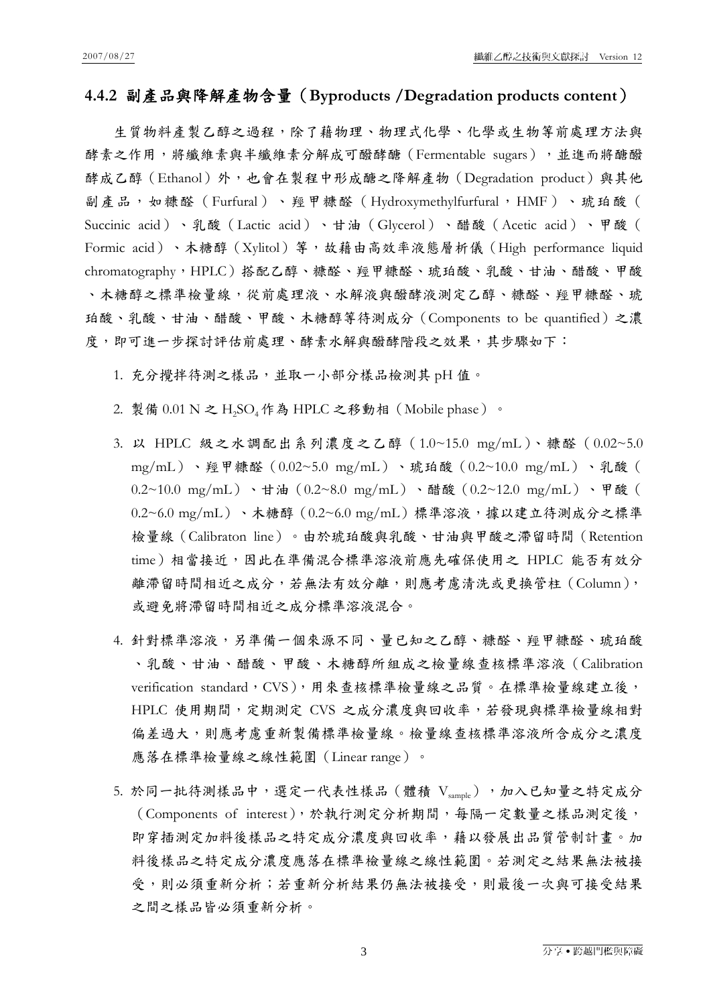### **4.4.2** 副產品與降解產物含量(**Byproducts /Degradation products content**)

生質物料產製乙醇之過程,除了藉物理、物理式化學、化學或生物等前處理方法與 酵素之作用,將纖維素與半纖維素分解成可醱酵醣(Fermentable sugars),並進而將醣醱 酵成乙醇(Ethanol)外,也會在製程中形成醣之降解產物(Degradation product)與其他 副產品,如糠醛(Furfural)、羥甲糠醛(Hydroxymethylfurfural,HMF)、琥珀酸( Succinic acid)、乳酸(Lactic acid)、甘油(Glycerol)、醋酸(Acetic acid)、甲酸( Formic acid)、木糖醇(Xylitol)等,故藉由高效率液態層析儀(High performance liquid chromatography,HPLC)搭配乙醇、糠醛、羥甲糠醛、琥珀酸、乳酸、甘油、醋酸、甲酸 、木糖醇之標準檢量線,從前處理液、水解液與醱酵液測定乙醇、糠醛、羥甲糠醛、琥 珀酸、乳酸、甘油、醋酸、甲酸、木糖醇等待測成分(Components to be quantified)之濃 度,即可進一步探討評估前處理、酵素水解與醱酵階段之效果,其步驟如下:

1. 充分攪拌待測之樣品,並取一小部分樣品檢測其 pH 值。

- 2. 製備  $0.01$  N 之 H<sub>2</sub>SO<sub>4</sub> 作為 HPLC 之移動相 (Mobile phase) 。
- 3. 以 HPLC 級之水調配出系列濃度之乙醇(1.0~15.0 mg/mL)、糠醛(0.02~5.0 mg/mL)、羥甲糠醛(0.02~5.0 mg/mL)、琥珀酸(0.2~10.0 mg/mL)、乳酸( 0.2~10.0 mg/mL)、甘油(0.2~8.0 mg/mL)、醋酸(0.2~12.0 mg/mL)、甲酸(  $(0.2~6.0~\text{mg/mL})$ 、木糖醇 $(0.2~6.0~\text{mg/mL})$ 標準溶液,據以建立待測成分之標準 檢量線(Calibraton line)。由於琥珀酸與乳酸、甘油與甲酸之滯留時間(Retention time)相當接近,因此在準備混合標準溶液前應先確保使用之 HPLC 能否有效分 離滯留時間相近之成分,若無法有效分離,則應考慮清洗或更換管柱(Column), 或避免將滯留時間相近之成分標準溶液混合。
- 4. 針對標準溶液,另準備一個來源不同、量已知之乙醇、糠醛、羥甲糠醛、琥珀酸 、乳酸、甘油、醋酸、甲酸、木糖醇所組成之檢量線查核標準溶液(Calibration verification standard, CVS), 用來查核標準檢量線之品質。在標準檢量線建立後, HPLC 使用期間,定期測定 CVS 之成分濃度與回收率,若發現與標準檢量線相對 偏差過大,則應考慮重新製備標準檢量線。檢量線查核標準溶液所含成分之濃度 應落在標準檢量線之線性範圍(Linear range)。
- 5. 於同一批待測樣品中,選定一代表性樣品 (體積 Vsangle),加入已知量之特定成分 (Components of interest),於執行測定分析期間,每隔一定數量之樣品測定後, 即穿插測定加料後樣品之特定成分濃度與回收率,藉以發展出品質管制計畫。加 料後樣品之特定成分濃度應落在標準檢量線之線性範圍。若測定之結果無法被接 受,則必須重新分析;若重新分析結果仍無法被接受,則最後一次與可接受結果 之間之樣品皆必須重新分析。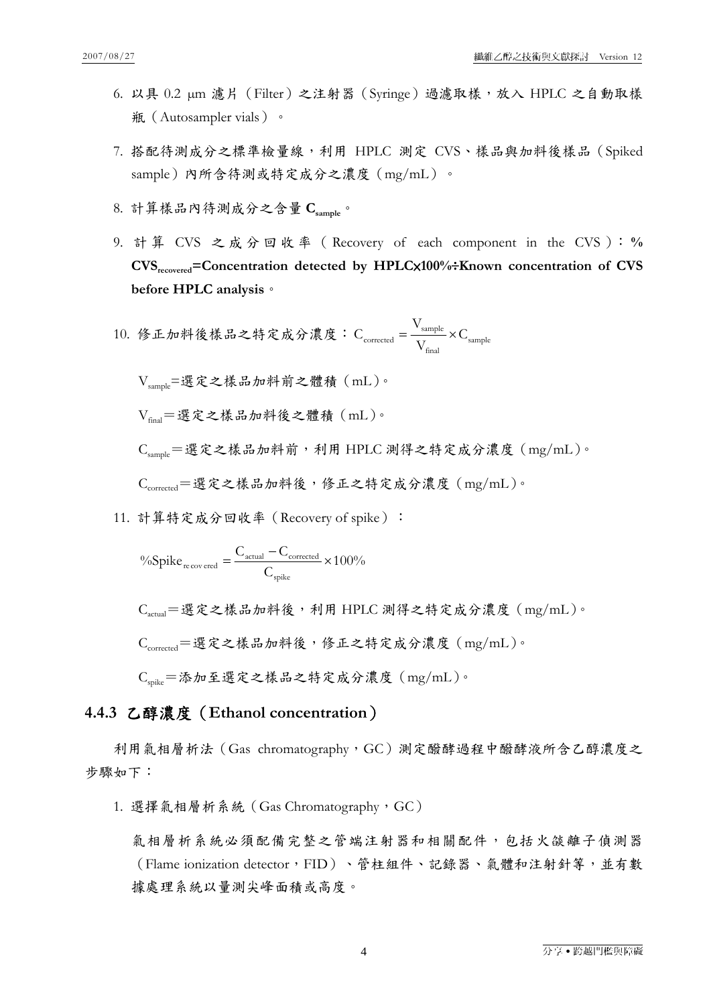- 6. 以具 0.2 µm 濾片(Filter)之注射器(Syringe)過濾取樣,放入 HPLC 之自動取樣 瓶(Autosampler vials)。
- 7. 搭配待測成分之標準檢量線,利用 HPLC 測定 CVS、樣品與加料後樣品(Spiked sample)內所含待測或特定成分之濃度(mg/mL)。
- 8. 計算樣品內待測成分之含量 **Csample**。
- 9. 計 算 CVS 之成分回收率( Recovery of each component in the CVS ): **% CVSrecovered=Concentration detected by HPLC**×**100%**÷**Known concentration of CVS before HPLC analysis**。
- 10. 修正加料後樣品之特定成分濃度:  $C_{\text{corrected}} = \frac{\text{sample}}{V} \times C_{\text{sample}}$ final  $\frac{V_{\text{sample}}}{V_{\text{final}}} \times C$ V  $C_{\text{corrected}} = \frac{F_{\text{sample}}}{T} \times$

Vsample=選定之樣品加料前之體積(mL)。

Vfinal=選定之樣品加料後之體積(mL)。

 $C_{\text{sample}} = \mathbb{E} \hat{\mathcal{R}}$ 之樣品加料前,利用 HPLC 測得之特定成分濃度  $(\text{mg/mL}) \circ$ 

 $C_{corrected} = \frac{\text{H}}{\text{H}} \hat{\mathcal{K}} \geq \frac{\text{H}}{\text{H}} \hat{\mathcal{K}}$ , 修正之特定成分濃度 $(\text{mg/mL}) \cdot$ 

11. 計算特定成分回收率 (Recovery of spike):

$$
\%Spike_{\text{recovered}} = \frac{C_{\text{actual}} - C_{\text{corrected}}}{C_{\text{spike}}} \times 100\%
$$

 $C_{\text{actual}} = \mathcal{F}$ 定之樣品加料後,利用 HPLC 測得之特定成分濃度  $(\text{mg/mL}) \circ$ 

 $C_{corrected} = \frac{\text{H}}{\text{H}} \hat{\mathcal{K}} \geq \frac{\text{H}}{\text{H}} \hat{\mathcal{K}}$ , 修正之特定成分濃度 $(\text{mg/mL}) \cdot$ 

Cspike=添加至選定之樣品之特定成分濃度(mg/mL)。

### **4.4.3** 乙醇濃度(**Ethanol concentration**)

利用氣相層析法 (Gas chromatography,GC)測定醱酵過程中醱酵液所含乙醇濃度之 步驟如下:

1. 選擇氣相層析系統(Gas Chromatography,GC)

氣相層析系統必須配備完整之管端注射器和相關配件,包括火燄離子偵測器 (Flame ionization detector,FID)、管柱組件、記錄器、氣體和注射針等,並有數 據處理系統以量測尖峰面積或高度。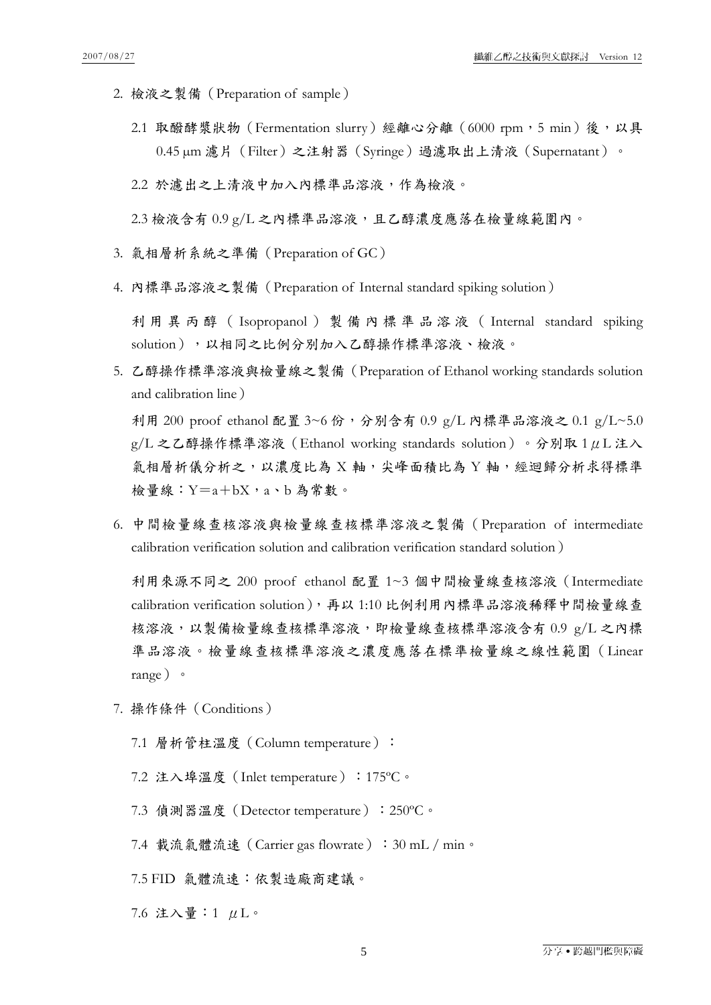- 2. 檢液之製備(Preparation of sample)
	- 2.1 取醱酵浆狀物 (Fermentation slurry) 經離心分離 (6000 rpm, 5 min)後, 以具 0.45 µm 濾片(Filter)之注射器(Syringe)過濾取出上清液(Supernatant)。

2.2 於濾出之上清液中加入內標準品溶液,作為檢液。

 $2.3$ 檢液含有  $0.9$  g/L 之內標準品溶液,且乙醇濃度應落在檢量線範圍內。

- 3. 氣相層析系統之準備(Preparation of GC)
- 4. 內標準品溶液之製備(Preparation of Internal standard spiking solution)

利用異丙醇( Isopropanol )製備內標準品溶液( Internal standard spiking solution),以相同之比例分別加入乙醇操作標準溶液、檢液。

5. 乙醇操作標準溶液與檢量線之製備(Preparation of Ethanol working standards solution and calibration line)

利用 200 proof ethanol 配置 3~6 份,分別含有 0.9 g/L 內標準品溶液之 0.1 g/L~5.0  $g/L$  之乙醇操作標準溶液 (Ethanol working standards solution) 。分別取 1 μL 注入 氣相層析儀分析之,以濃度比為 X 軸,尖峰面積比為 Y 軸,經迴歸分析求得標準 檢量線:  $Y=a+bX$ ,  $a \cdot b$  為常數。

6. 中間檢量線查核溶液與檢量線查核標準溶液之製備(Preparation of intermediate calibration verification solution and calibration verification standard solution)

利用來源不同之 200 proof ethanol 配置 1~3 個中間檢量線查核溶液(Intermediate calibration verification solution),再以 1:10 比例利用內標準品溶液稀釋中間檢量線查 核溶液,以製備檢量線查核標準溶液,即檢量線查核標準溶液含有 0.9 g/L 之內標 準品溶液。檢量線查核標準溶液之濃度應落在標準檢量線之線性範圍(Linear range)。

- 7. 操作條件(Conditions)
	- 7.1 層析管柱溫度(Column temperature):
	- 7.2 注入埠溫度(Inlet temperature):175ºC。
	- 7.3 偵測器溫度(Detector temperature):250ºC。
	- 7.4 載流氣體流速(Carrier gas flowrate):30 mL / min。
	- 7.5 FID 氣體流速:依製造廠商建議。
	- 7.6 注入量:1 μL。